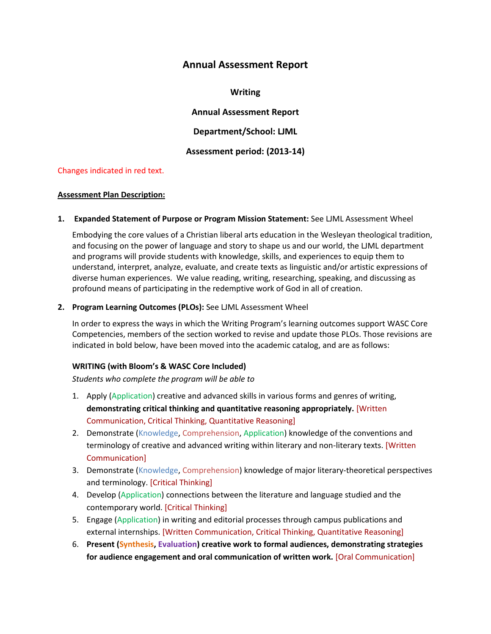# **Annual Assessment Report**

**Writing**

**Annual Assessment Report**

**Department/School: LJML**

**Assessment period: (2013-14)**

## Changes indicated in red text.

### **Assessment Plan Description:**

**1. Expanded Statement of Purpose or Program Mission Statement:** See LJML Assessment Wheel

Embodying the core values of a Christian liberal arts education in the Wesleyan theological tradition, and focusing on the power of language and story to shape us and our world, the LJML department and programs will provide students with knowledge, skills, and experiences to equip them to understand, interpret, analyze, evaluate, and create texts as linguistic and/or artistic expressions of diverse human experiences. We value reading, writing, researching, speaking, and discussing as profound means of participating in the redemptive work of God in all of creation.

## **2. Program Learning Outcomes (PLOs):** See LJML Assessment Wheel

In order to express the ways in which the Writing Program's learning outcomes support WASC Core Competencies, members of the section worked to revise and update those PLOs. Those revisions are indicated in bold below, have been moved into the academic catalog, and are as follows:

## **WRITING (with Bloom's & WASC Core Included)**

*Students who complete the program will be able to*

- 1. Apply (Application) creative and advanced skills in various forms and genres of writing, **demonstrating critical thinking and quantitative reasoning appropriately.** [Written Communication, Critical Thinking, Quantitative Reasoning]
- 2. Demonstrate (Knowledge, Comprehension, Application) knowledge of the conventions and terminology of creative and advanced writing within literary and non-literary texts. [Written Communication]
- 3. Demonstrate (Knowledge, Comprehension) knowledge of major literary-theoretical perspectives and terminology. [Critical Thinking]
- 4. Develop (Application) connections between the literature and language studied and the contemporary world. [Critical Thinking]
- 5. Engage (Application) in writing and editorial processes through campus publications and external internships. [Written Communication, Critical Thinking, Quantitative Reasoning]
- 6. **Present (Synthesis, Evaluation) creative work to formal audiences, demonstrating strategies for audience engagement and oral communication of written work.** [Oral Communication]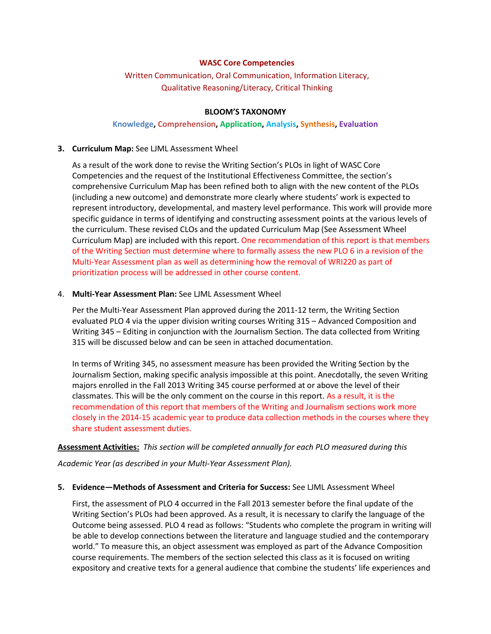### **WASC Core Competencies**

Written Communication, Oral Communication, Information Literacy, Qualitative Reasoning/Literacy, Critical Thinking

#### **BLOOM'S TAXONOMY**

### **Knowledge, Comprehension, Application, Analysis, Synthesis, Evaluation**

#### **3. Curriculum Map:** See LJML Assessment Wheel

As a result of the work done to revise the Writing Section's PLOs in light of WASC Core Competencies and the request of the Institutional Effectiveness Committee, the section's comprehensive Curriculum Map has been refined both to align with the new content of the PLOs (including a new outcome) and demonstrate more clearly where students' work is expected to represent introductory, developmental, and mastery level performance. This work will provide more specific guidance in terms of identifying and constructing assessment points at the various levels of the curriculum. These revised CLOs and the updated Curriculum Map (See Assessment Wheel Curriculum Map) are included with this report. One recommendation of this report is that members of the Writing Section must determine where to formally assess the new PLO 6 in a revision of the Multi-Year Assessment plan as well as determining how the removal of WRI220 as part of prioritization process will be addressed in other course content.

### 4. **Multi-Year Assessment Plan:** See LJML Assessment Wheel

Per the Multi-Year Assessment Plan approved during the 2011-12 term, the Writing Section evaluated PLO 4 via the upper division writing courses Writing 315 – Advanced Composition and Writing 345 – Editing in conjunction with the Journalism Section. The data collected from Writing 315 will be discussed below and can be seen in attached documentation.

In terms of Writing 345, no assessment measure has been provided the Writing Section by the Journalism Section, making specific analysis impossible at this point. Anecdotally, the seven Writing majors enrolled in the Fall 2013 Writing 345 course performed at or above the level of their classmates. This will be the only comment on the course in this report. As a result, it is the recommendation of this report that members of the Writing and Journalism sections work more closely in the 2014-15 academic year to produce data collection methods in the courses where they share student assessment duties.

**Assessment Activities:** *This section will be completed annually for each PLO measured during this* 

*Academic Year (as described in your Multi-Year Assessment Plan).* 

#### **5. Evidence—Methods of Assessment and Criteria for Success:** See LJML Assessment Wheel

First, the assessment of PLO 4 occurred in the Fall 2013 semester before the final update of the Writing Section's PLOs had been approved. As a result, it is necessary to clarify the language of the Outcome being assessed. PLO 4 read as follows: "Students who complete the program in writing will be able to develop connections between the literature and language studied and the contemporary world." To measure this, an object assessment was employed as part of the Advance Composition course requirements. The members of the section selected this class as it is focused on writing expository and creative texts for a general audience that combine the students' life experiences and